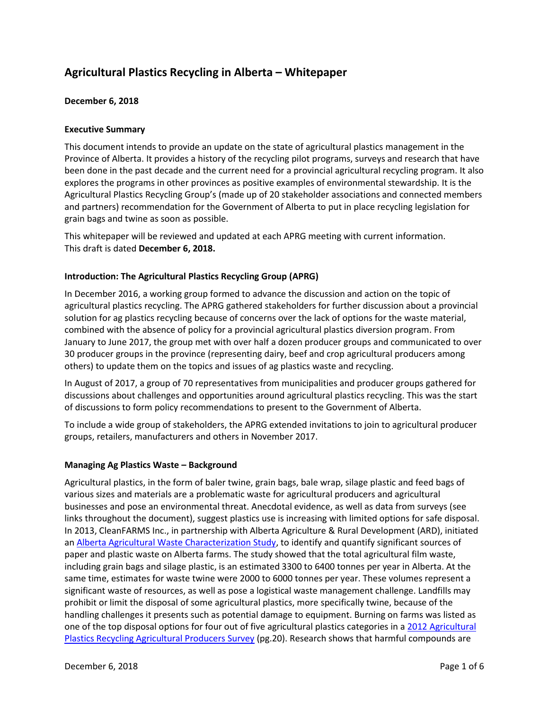# **Agricultural Plastics Recycling in Alberta – Whitepaper**

# **December 6, 2018**

# **Executive Summary**

This document intends to provide an update on the state of agricultural plastics management in the Province of Alberta. It provides a history of the recycling pilot programs, surveys and research that have been done in the past decade and the current need for a provincial agricultural recycling program. It also explores the programs in other provinces as positive examples of environmental stewardship. It is the Agricultural Plastics Recycling Group's (made up of 20 stakeholder associations and connected members and partners) recommendation for the Government of Alberta to put in place recycling legislation for grain bags and twine as soon as possible.

This whitepaper will be reviewed and updated at each APRG meeting with current information. This draft is dated **December 6, 2018.**

# **Introduction: The Agricultural Plastics Recycling Group (APRG)**

In December 2016, a working group formed to advance the discussion and action on the topic of agricultural plastics recycling. The APRG gathered stakeholders for further discussion about a provincial solution for ag plastics recycling because of concerns over the lack of options for the waste material, combined with the absence of policy for a provincial agricultural plastics diversion program. From January to June 2017, the group met with over half a dozen producer groups and communicated to over 30 producer groups in the province (representing dairy, beef and crop agricultural producers among others) to update them on the topics and issues of ag plastics waste and recycling.

In August of 2017, a group of 70 representatives from municipalities and producer groups gathered for discussions about challenges and opportunities around agricultural plastics recycling. This was the start of discussions to form policy recommendations to present to the Government of Alberta.

To include a wide group of stakeholders, the APRG extended invitations to join to agricultural producer groups, retailers, manufacturers and others in November 2017.

# **Managing Ag Plastics Waste – Background**

Agricultural plastics, in the form of baler twine, grain bags, bale wrap, silage plastic and feed bags of various sizes and materials are a problematic waste for agricultural producers and agricultural businesses and pose an environmental threat. Anecdotal evidence, as well as data from surveys (see links throughout the document), suggest plastics use is increasing with limited options for safe disposal. In 2013, CleanFARMS Inc., in partnership with Alberta Agriculture & Rural Development (ARD), initiated a[n Alberta Agricultural Waste Characterization Study,](http://www.cleanfarms.ca/sites/default/files/studies/AB%20Ag%20Waste%20Characterization%20Study_CleanFARMS_Sep5.pdf) to identify and quantify significant sources of paper and plastic waste on Alberta farms. The study showed that the total agricultural film waste, including grain bags and silage plastic, is an estimated 3300 to 6400 tonnes per year in Alberta. At the same time, estimates for waste twine were 2000 to 6000 tonnes per year. These volumes represent a significant waste of resources, as well as pose a logistical waste management challenge. Landfills may prohibit or limit the disposal of some agricultural plastics, more specifically twine, because of the handling challenges it presents such as potential damage to equipment. Burning on farms was listed as one of the top disposal options for four out of five agricultural plastics categories in a 2012 Agricultural [Plastics Recycling Agricultural Producers Survey](http://www1.agric.gov.ab.ca/$department/deptdocs.nsf/all/com14387/$file/Plastics_Recycling_Agricultural_Producers_Survey_Final_Report.pdf?OpenElement) (pg.20). Research shows that harmful compounds are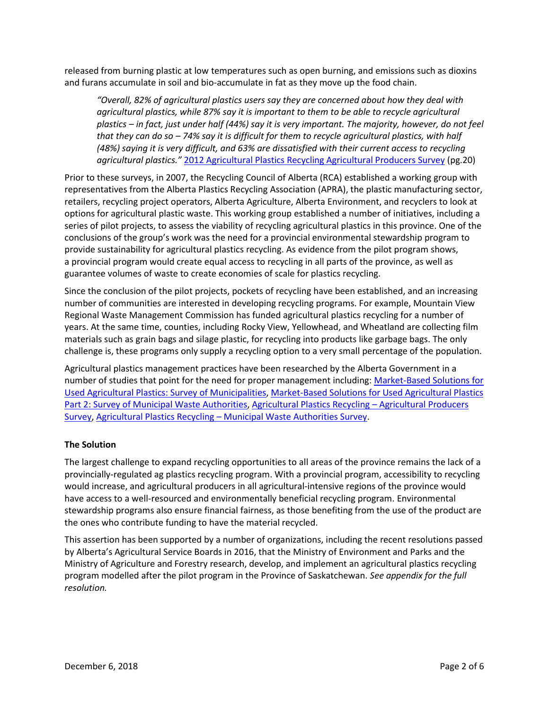released from burning plastic at low temperatures such as open burning, and emissions such as dioxins and furans accumulate in soil and bio-accumulate in fat as they move up the food chain.

*"Overall, 82% of agricultural plastics users say they are concerned about how they deal with agricultural plastics, while 87% say it is important to them to be able to recycle agricultural plastics – in fact, just under half (44%) say it is very important. The majority, however, do not feel that they can do so – 74% say it is difficult for them to recycle agricultural plastics, with half (48%) saying it is very difficult, and 63% are dissatisfied with their current access to recycling agricultural plastics."* [2012 Agricultural Plastics Recycling Agricultural Producers Survey](http://www1.agric.gov.ab.ca/$department/deptdocs.nsf/all/com14387/$file/Plastics_Recycling_Agricultural_Producers_Survey_Final_Report.pdf?OpenElement) (pg.20)

Prior to these surveys, in 2007, the Recycling Council of Alberta (RCA) established a working group with representatives from the Alberta Plastics Recycling Association (APRA), the plastic manufacturing sector, retailers, recycling project operators, Alberta Agriculture, Alberta Environment, and recyclers to look at options for agricultural plastic waste. This working group established a number of initiatives, including a series of pilot projects, to assess the viability of recycling agricultural plastics in this province. One of the conclusions of the group's work was the need for a provincial environmental stewardship program to provide sustainability for agricultural plastics recycling. As evidence from the pilot program shows, a provincial program would create equal access to recycling in all parts of the province, as well as guarantee volumes of waste to create economies of scale for plastics recycling.

Since the conclusion of the pilot projects, pockets of recycling have been established, and an increasing number of communities are interested in developing recycling programs. For example, Mountain View Regional Waste Management Commission has funded agricultural plastics recycling for a number of years. At the same time, counties, including Rocky View, Yellowhead, and Wheatland are collecting film materials such as grain bags and silage plastic, for recycling into products like garbage bags. The only challenge is, these programs only supply a recycling option to a very small percentage of the population.

Agricultural plastics management practices have been researched by the Alberta Government in a number of studies that point for the need for proper management including: [Market-Based Solutions for](http://www1.agric.gov.ab.ca/$department/deptdocs.nsf/all/rsv13511/$FILE/Ag_Plastics_Part1_FINAL_Oct_21_2016.pdf)  [Used Agricultural Plastics: Survey of Municipalities,](http://www1.agric.gov.ab.ca/$department/deptdocs.nsf/all/rsv13511/$FILE/Ag_Plastics_Part1_FINAL_Oct_21_2016.pdf) [Market-Based Solutions for Used Agricultural Plastics](http://www1.agric.gov.ab.ca/$department/deptdocs.nsf/all/rsv13511/$FILE/Ag_Plastics_Part2_FINAL_Oct_21_2016.pdf)  Part [2: Survey of Municipal Waste Authorities,](http://www1.agric.gov.ab.ca/$department/deptdocs.nsf/all/rsv13511/$FILE/Ag_Plastics_Part2_FINAL_Oct_21_2016.pdf) [Agricultural Plastics Recycling](http://www1.agric.gov.ab.ca/$department/deptdocs.nsf/all/com14387/$file/Plastics_Recycling_Agricultural_Producers_Survey_Final_Report.pdf?OpenElement) – Agricultural Producers [Survey,](http://www1.agric.gov.ab.ca/$department/deptdocs.nsf/all/com14387/$file/Plastics_Recycling_Agricultural_Producers_Survey_Final_Report.pdf?OpenElement) Agricultural Plastics Recycling – [Municipal Waste Authorities Survey.](http://www1.agric.gov.ab.ca/$department/deptdocs.nsf/all/com14390/$file/MWA_Survey_Final_Report.pdf?OpenElement)

# **The Solution**

The largest challenge to expand recycling opportunities to all areas of the province remains the lack of a provincially-regulated ag plastics recycling program. With a provincial program, accessibility to recycling would increase, and agricultural producers in all agricultural-intensive regions of the province would have access to a well-resourced and environmentally beneficial recycling program. Environmental stewardship programs also ensure financial fairness, as those benefiting from the use of the product are the ones who contribute funding to have the material recycled.

This assertion has been supported by a number of organizations, including the recent resolutions passed by Alberta's Agricultural Service Boards in 2016, that the Ministry of Environment and Parks and the Ministry of Agriculture and Forestry research, develop, and implement an agricultural plastics recycling program modelled after the pilot program in the Province of Saskatchewan. *See appendix for the full resolution.*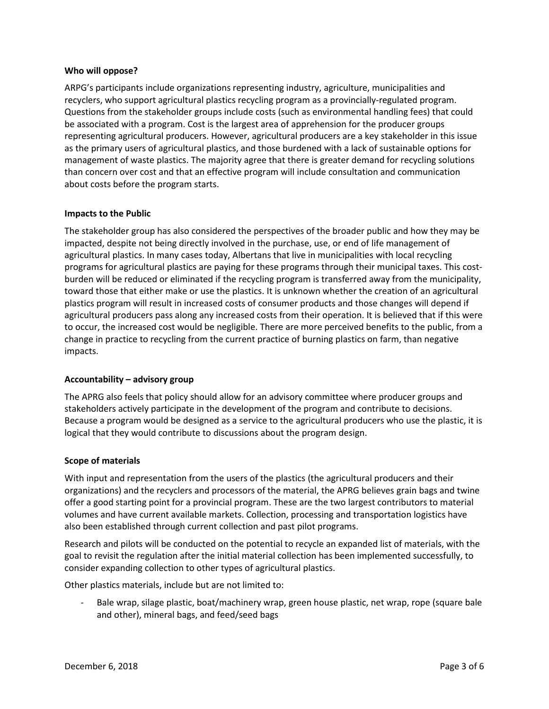#### **Who will oppose?**

ARPG's participants include organizations representing industry, agriculture, municipalities and recyclers, who support agricultural plastics recycling program as a provincially-regulated program. Questions from the stakeholder groups include costs (such as environmental handling fees) that could be associated with a program. Cost is the largest area of apprehension for the producer groups representing agricultural producers. However, agricultural producers are a key stakeholder in this issue as the primary users of agricultural plastics, and those burdened with a lack of sustainable options for management of waste plastics. The majority agree that there is greater demand for recycling solutions than concern over cost and that an effective program will include consultation and communication about costs before the program starts.

#### **Impacts to the Public**

The stakeholder group has also considered the perspectives of the broader public and how they may be impacted, despite not being directly involved in the purchase, use, or end of life management of agricultural plastics. In many cases today, Albertans that live in municipalities with local recycling programs for agricultural plastics are paying for these programs through their municipal taxes. This costburden will be reduced or eliminated if the recycling program is transferred away from the municipality, toward those that either make or use the plastics. It is unknown whether the creation of an agricultural plastics program will result in increased costs of consumer products and those changes will depend if agricultural producers pass along any increased costs from their operation. It is believed that if this were to occur, the increased cost would be negligible. There are more perceived benefits to the public, from a change in practice to recycling from the current practice of burning plastics on farm, than negative impacts.

# **Accountability – advisory group**

The APRG also feels that policy should allow for an advisory committee where producer groups and stakeholders actively participate in the development of the program and contribute to decisions. Because a program would be designed as a service to the agricultural producers who use the plastic, it is logical that they would contribute to discussions about the program design.

#### **Scope of materials**

With input and representation from the users of the plastics (the agricultural producers and their organizations) and the recyclers and processors of the material, the APRG believes grain bags and twine offer a good starting point for a provincial program. These are the two largest contributors to material volumes and have current available markets. Collection, processing and transportation logistics have also been established through current collection and past pilot programs.

Research and pilots will be conducted on the potential to recycle an expanded list of materials, with the goal to revisit the regulation after the initial material collection has been implemented successfully, to consider expanding collection to other types of agricultural plastics.

Other plastics materials, include but are not limited to:

Bale wrap, silage plastic, boat/machinery wrap, green house plastic, net wrap, rope (square bale and other), mineral bags, and feed/seed bags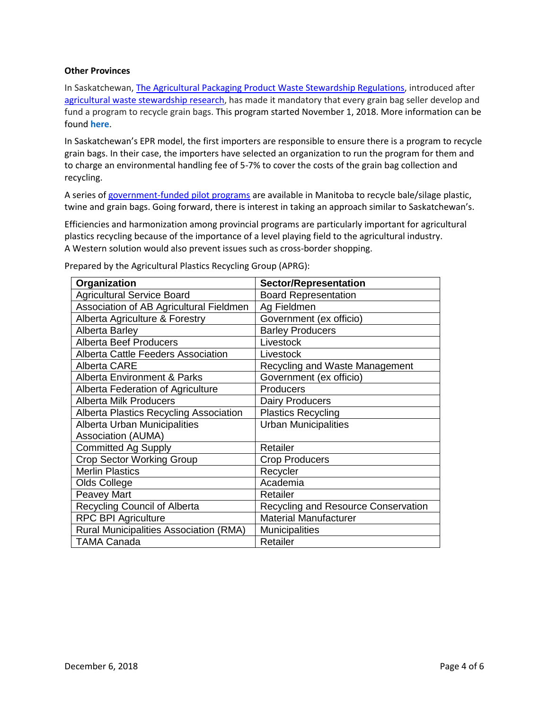#### **Other Provinces**

In Saskatchewan, [The Agricultural Packaging Product Waste Stewardship Regulations,](http://www.qp.gov.sk.ca/documents/English/Regulations/Regulations/E10-22R4.pdf) introduced after [agricultural waste stewardship research,](http://www.cleanfarms.ca/documents/studies/SKAgWasteStewardshipConsultation_20111030_FINAL.pdf) has made it mandatory that every grain bag seller develop and fund a program to recycle grain bags. This program started November 1, 2018. More information can be found **[here](https://cleanfarms.ca/programs/grain-bag-recycling-sk/)**.

In Saskatchewan's EPR model, the first importers are responsible to ensure there is a program to recycle grain bags. In their case, the importers have selected an organization to run the program for them and to charge an environmental handling fee of 5-7% to cover the costs of the grain bag collection and recycling.

A series of [government-funded pilot programs](http://www.cleanfarms.ca/plasticfilmtwinecollection.html) are available in Manitoba to recycle bale/silage plastic, twine and grain bags. Going forward, there is interest in taking an approach similar to Saskatchewan's.

Efficiencies and harmonization among provincial programs are particularly important for agricultural plastics recycling because of the importance of a level playing field to the agricultural industry. A Western solution would also prevent issues such as cross-border shopping.

| Organization                                  | <b>Sector/Representation</b>        |  |
|-----------------------------------------------|-------------------------------------|--|
| <b>Agricultural Service Board</b>             | <b>Board Representation</b>         |  |
| Association of AB Agricultural Fieldmen       | Ag Fieldmen                         |  |
| Alberta Agriculture & Forestry                | Government (ex officio)             |  |
| <b>Alberta Barley</b>                         | <b>Barley Producers</b>             |  |
| <b>Alberta Beef Producers</b>                 | Livestock                           |  |
| Alberta Cattle Feeders Association            | Livestock                           |  |
| <b>Alberta CARE</b>                           | Recycling and Waste Management      |  |
| <b>Alberta Environment &amp; Parks</b>        | Government (ex officio)             |  |
| Alberta Federation of Agriculture             | Producers                           |  |
| <b>Alberta Milk Producers</b>                 | <b>Dairy Producers</b>              |  |
| Alberta Plastics Recycling Association        | <b>Plastics Recycling</b>           |  |
| Alberta Urban Municipalities                  | <b>Urban Municipalities</b>         |  |
| Association (AUMA)                            |                                     |  |
| <b>Committed Ag Supply</b>                    | Retailer                            |  |
| <b>Crop Sector Working Group</b>              | <b>Crop Producers</b>               |  |
| <b>Merlin Plastics</b>                        | Recycler                            |  |
| Olds College                                  | Academia                            |  |
| Peavey Mart                                   | Retailer                            |  |
| <b>Recycling Council of Alberta</b>           | Recycling and Resource Conservation |  |
| <b>RPC BPI Agriculture</b>                    | <b>Material Manufacturer</b>        |  |
| <b>Rural Municipalities Association (RMA)</b> | Municipalities                      |  |
| <b>TAMA Canada</b>                            | Retailer                            |  |

Prepared by the Agricultural Plastics Recycling Group (APRG):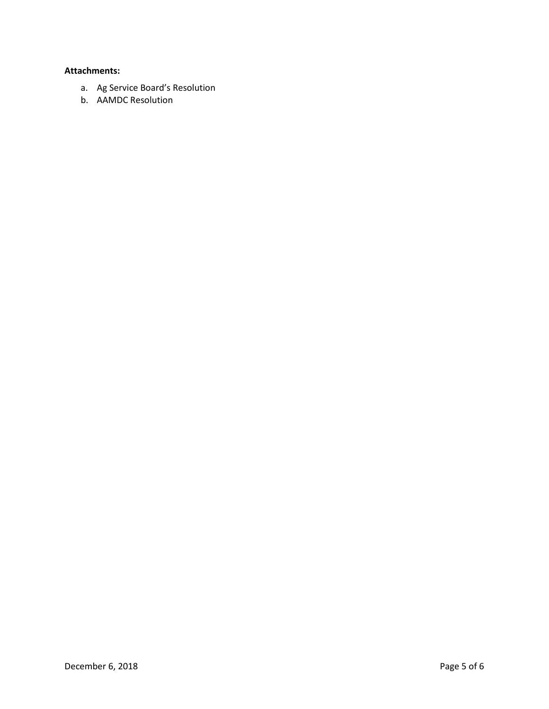# **Attachments:**

- a. Ag Service Board's Resolution
- b. AAMDC Resolution